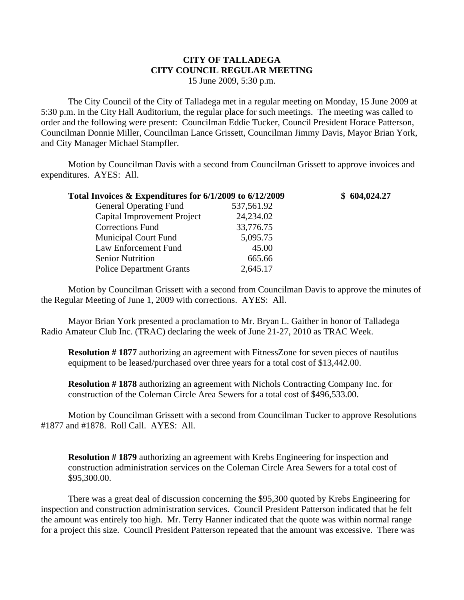## **CITY OF TALLADEGA CITY COUNCIL REGULAR MEETING** 15 June 2009, 5:30 p.m.

The City Council of the City of Talladega met in a regular meeting on Monday, 15 June 2009 at 5:30 p.m. in the City Hall Auditorium, the regular place for such meetings. The meeting was called to order and the following were present: Councilman Eddie Tucker, Council President Horace Patterson, Councilman Donnie Miller, Councilman Lance Grissett, Councilman Jimmy Davis, Mayor Brian York, and City Manager Michael Stampfler.

Motion by Councilman Davis with a second from Councilman Grissett to approve invoices and expenditures. AYES: All.

| Total Invoices & Expenditures for 6/1/2009 to 6/12/2009 |            | \$604,024.27 |
|---------------------------------------------------------|------------|--------------|
| <b>General Operating Fund</b>                           | 537,561.92 |              |
| Capital Improvement Project                             | 24,234.02  |              |
| <b>Corrections Fund</b>                                 | 33,776.75  |              |
| <b>Municipal Court Fund</b>                             | 5,095.75   |              |
| Law Enforcement Fund                                    | 45.00      |              |
| <b>Senior Nutrition</b>                                 | 665.66     |              |
| <b>Police Department Grants</b>                         | 2,645.17   |              |

Motion by Councilman Grissett with a second from Councilman Davis to approve the minutes of the Regular Meeting of June 1, 2009 with corrections. AYES: All.

Mayor Brian York presented a proclamation to Mr. Bryan L. Gaither in honor of Talladega Radio Amateur Club Inc. (TRAC) declaring the week of June 21-27, 2010 as TRAC Week.

**Resolution #1877** authorizing an agreement with FitnessZone for seven pieces of nautilus equipment to be leased/purchased over three years for a total cost of \$13,442.00.

**Resolution # 1878** authorizing an agreement with Nichols Contracting Company Inc. for construction of the Coleman Circle Area Sewers for a total cost of \$496,533.00.

Motion by Councilman Grissett with a second from Councilman Tucker to approve Resolutions #1877 and #1878. Roll Call. AYES: All.

**Resolution #1879** authorizing an agreement with Krebs Engineering for inspection and construction administration services on the Coleman Circle Area Sewers for a total cost of \$95,300.00.

There was a great deal of discussion concerning the \$95,300 quoted by Krebs Engineering for inspection and construction administration services. Council President Patterson indicated that he felt the amount was entirely too high. Mr. Terry Hanner indicated that the quote was within normal range for a project this size. Council President Patterson repeated that the amount was excessive. There was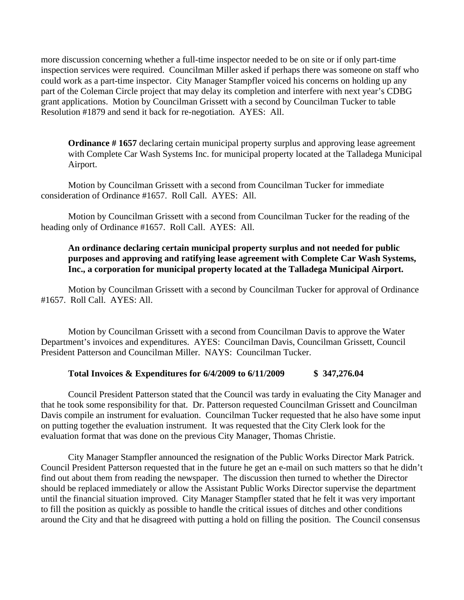more discussion concerning whether a full-time inspector needed to be on site or if only part-time inspection services were required. Councilman Miller asked if perhaps there was someone on staff who could work as a part-time inspector. City Manager Stampfler voiced his concerns on holding up any part of the Coleman Circle project that may delay its completion and interfere with next year's CDBG grant applications. Motion by Councilman Grissett with a second by Councilman Tucker to table Resolution #1879 and send it back for re-negotiation. AYES: All.

**Ordinance #1657** declaring certain municipal property surplus and approving lease agreement with Complete Car Wash Systems Inc. for municipal property located at the Talladega Municipal Airport.

Motion by Councilman Grissett with a second from Councilman Tucker for immediate consideration of Ordinance #1657. Roll Call. AYES: All.

Motion by Councilman Grissett with a second from Councilman Tucker for the reading of the heading only of Ordinance #1657. Roll Call. AYES: All.

## **An ordinance declaring certain municipal property surplus and not needed for public purposes and approving and ratifying lease agreement with Complete Car Wash Systems, Inc., a corporation for municipal property located at the Talladega Municipal Airport.**

Motion by Councilman Grissett with a second by Councilman Tucker for approval of Ordinance #1657. Roll Call. AYES: All.

Motion by Councilman Grissett with a second from Councilman Davis to approve the Water Department's invoices and expenditures. AYES: Councilman Davis, Councilman Grissett, Council President Patterson and Councilman Miller. NAYS: Councilman Tucker.

## **Total Invoices & Expenditures for 6/4/2009 to 6/11/2009 \$ 347,276.04**

Council President Patterson stated that the Council was tardy in evaluating the City Manager and that he took some responsibility for that. Dr. Patterson requested Councilman Grissett and Councilman Davis compile an instrument for evaluation. Councilman Tucker requested that he also have some input on putting together the evaluation instrument. It was requested that the City Clerk look for the evaluation format that was done on the previous City Manager, Thomas Christie.

City Manager Stampfler announced the resignation of the Public Works Director Mark Patrick. Council President Patterson requested that in the future he get an e-mail on such matters so that he didn't find out about them from reading the newspaper. The discussion then turned to whether the Director should be replaced immediately or allow the Assistant Public Works Director supervise the department until the financial situation improved. City Manager Stampfler stated that he felt it was very important to fill the position as quickly as possible to handle the critical issues of ditches and other conditions around the City and that he disagreed with putting a hold on filling the position. The Council consensus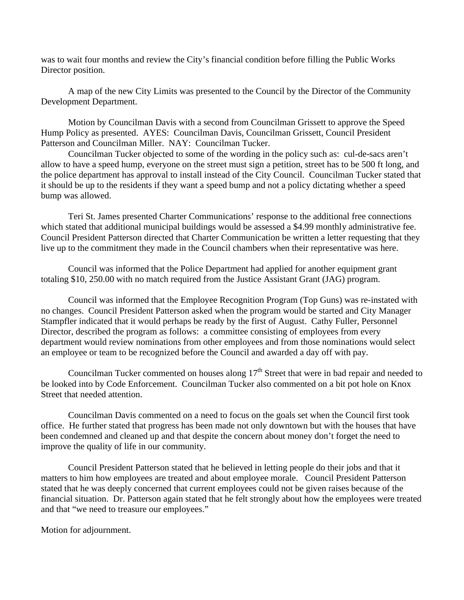was to wait four months and review the City's financial condition before filling the Public Works Director position.

A map of the new City Limits was presented to the Council by the Director of the Community Development Department.

Motion by Councilman Davis with a second from Councilman Grissett to approve the Speed Hump Policy as presented. AYES: Councilman Davis, Councilman Grissett, Council President Patterson and Councilman Miller. NAY: Councilman Tucker.

Councilman Tucker objected to some of the wording in the policy such as: cul-de-sacs aren't allow to have a speed hump, everyone on the street must sign a petition, street has to be 500 ft long, and the police department has approval to install instead of the City Council. Councilman Tucker stated that it should be up to the residents if they want a speed bump and not a policy dictating whether a speed bump was allowed.

Teri St. James presented Charter Communications' response to the additional free connections which stated that additional municipal buildings would be assessed a \$4.99 monthly administrative fee. Council President Patterson directed that Charter Communication be written a letter requesting that they live up to the commitment they made in the Council chambers when their representative was here.

Council was informed that the Police Department had applied for another equipment grant totaling \$10, 250.00 with no match required from the Justice Assistant Grant (JAG) program.

Council was informed that the Employee Recognition Program (Top Guns) was re-instated with no changes. Council President Patterson asked when the program would be started and City Manager Stampfler indicated that it would perhaps be ready by the first of August. Cathy Fuller, Personnel Director, described the program as follows: a committee consisting of employees from every department would review nominations from other employees and from those nominations would select an employee or team to be recognized before the Council and awarded a day off with pay.

Councilman Tucker commented on houses along  $17<sup>th</sup>$  Street that were in bad repair and needed to be looked into by Code Enforcement. Councilman Tucker also commented on a bit pot hole on Knox Street that needed attention.

Councilman Davis commented on a need to focus on the goals set when the Council first took office. He further stated that progress has been made not only downtown but with the houses that have been condemned and cleaned up and that despite the concern about money don't forget the need to improve the quality of life in our community.

Council President Patterson stated that he believed in letting people do their jobs and that it matters to him how employees are treated and about employee morale. Council President Patterson stated that he was deeply concerned that current employees could not be given raises because of the financial situation. Dr. Patterson again stated that he felt strongly about how the employees were treated and that "we need to treasure our employees."

Motion for adjournment.